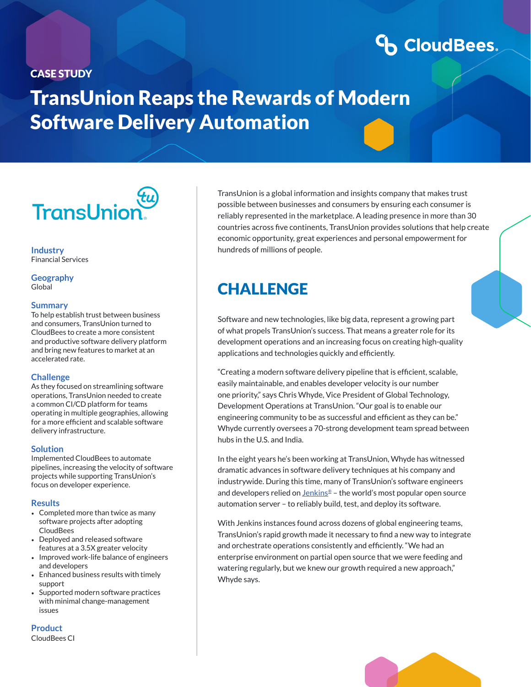# **CoudBees**

### CASE STUDY

# TransUnion Reaps the Rewards of Modern Software Delivery Automation



**Industry** Financial Services

#### **Geography** Global

#### **Summary**

To help establish trust between business and consumers, TransUnion turned to CloudBees to create a more consistent and productive software delivery platform and bring new features to market at an accelerated rate.

#### **Challenge**

As they focused on streamlining software operations, TransUnion needed to create a common CI/CD platform for teams operating in multiple geographies, allowing for a more efficient and scalable software delivery infrastructure.

#### **Solution**

Implemented CloudBees to automate pipelines, increasing the velocity of software projects while supporting TransUnion's focus on developer experience.

#### **Results**

- Completed more than twice as many software projects after adopting **CloudBees**
- Deployed and released software features at a 3.5X greater velocity
- Improved work-life balance of engineers and developers
- Enhanced business results with timely support
- Supported modern software practices with minimal change-management issues

**Product** CloudBees CI TransUnion is a global information and insights company that makes trust possible between businesses and consumers by ensuring each consumer is reliably represented in the marketplace. A leading presence in more than 30 countries across five continents, TransUnion provides solutions that help create economic opportunity, great experiences and personal empowerment for hundreds of millions of people.

# **CHALLENGE**

Software and new technologies, like big data, represent a growing part of what propels TransUnion's success. That means a greater role for its development operations and an increasing focus on creating high-quality applications and technologies quickly and efficiently.

"Creating a modern software delivery pipeline that is efficient, scalable, easily maintainable, and enables developer velocity is our number one priority," says Chris Whyde, Vice President of Global Technology, Development Operations at TransUnion. "Our goal is to enable our engineering community to be as successful and efficient as they can be." Whyde currently oversees a 70-strong development team spread between hubs in the U.S. and India.

In the eight years he's been working at TransUnion, Whyde has witnessed dramatic advances in software delivery techniques at his company and industrywide. During this time, many of TransUnion's software engineers and developers relied on  $Jenkins® - the world's most popular open source$ </u> automation server – to reliably build, test, and deploy its software.

With Jenkins instances found across dozens of global engineering teams, TransUnion's rapid growth made it necessary to find a new way to integrate and orchestrate operations consistently and efficiently. "We had an enterprise environment on partial open source that we were feeding and watering regularly, but we knew our growth required a new approach," Whyde says.

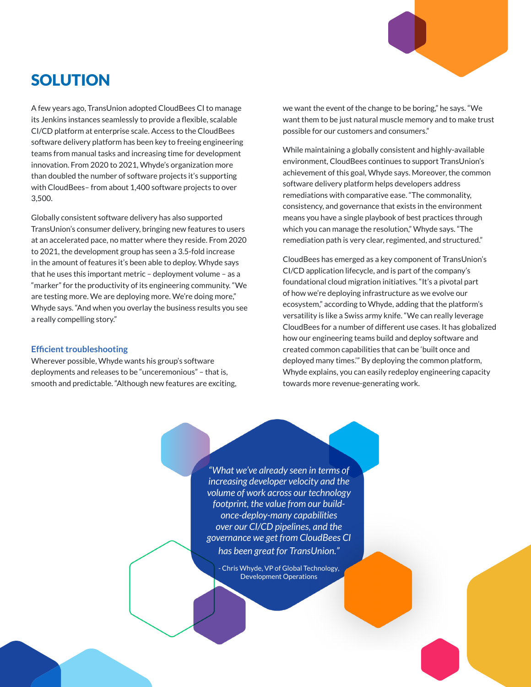# **SOLUTION**

A few years ago, TransUnion adopted CloudBees CI to manage its Jenkins instances seamlessly to provide a flexible, scalable CI/CD platform at enterprise scale. Access to the CloudBees software delivery platform has been key to freeing engineering teams from manual tasks and increasing time for development innovation. From 2020 to 2021, Whyde's organization more than doubled the number of software projects it's supporting with CloudBees– from about 1,400 software projects to over 3,500.

Globally consistent software delivery has also supported TransUnion's consumer delivery, bringing new features to users at an accelerated pace, no matter where they reside. From 2020 to 2021, the development group has seen a 3.5-fold increase in the amount of features it's been able to deploy. Whyde says that he uses this important metric – deployment volume – as a "marker" for the productivity of its engineering community. "We are testing more. We are deploying more. We're doing more," Whyde says. "And when you overlay the business results you see a really compelling story."

#### **Efficient troubleshooting**

Wherever possible, Whyde wants his group's software deployments and releases to be "unceremonious" – that is, smooth and predictable. "Although new features are exciting, we want the event of the change to be boring," he says. "We want them to be just natural muscle memory and to make trust possible for our customers and consumers."

While maintaining a globally consistent and highly-available environment, CloudBees continues to support TransUnion's achievement of this goal, Whyde says. Moreover, the common software delivery platform helps developers address remediations with comparative ease. "The commonality, consistency, and governance that exists in the environment means you have a single playbook of best practices through which you can manage the resolution," Whyde says. "The remediation path is very clear, regimented, and structured."

CloudBees has emerged as a key component of TransUnion's CI/CD application lifecycle, and is part of the company's foundational cloud migration initiatives. "It's a pivotal part of how we're deploying infrastructure as we evolve our ecosystem," according to Whyde, adding that the platform's versatility is like a Swiss army knife. "We can really leverage CloudBees for a number of different use cases. It has globalized how our engineering teams build and deploy software and created common capabilities that can be 'built once and deployed many times.'" By deploying the common platform, Whyde explains, you can easily redeploy engineering capacity towards more revenue-generating work.

*"What we've already seen in terms of increasing developer velocity and the volume of work across our technology footprint, the value from our buildonce-deploy-many capabilities over our CI/CD pipelines, and the governance we get from CloudBees CI has been great for TransUnion."*

> - Chris Whyde, VP of Global Technology, Development Operations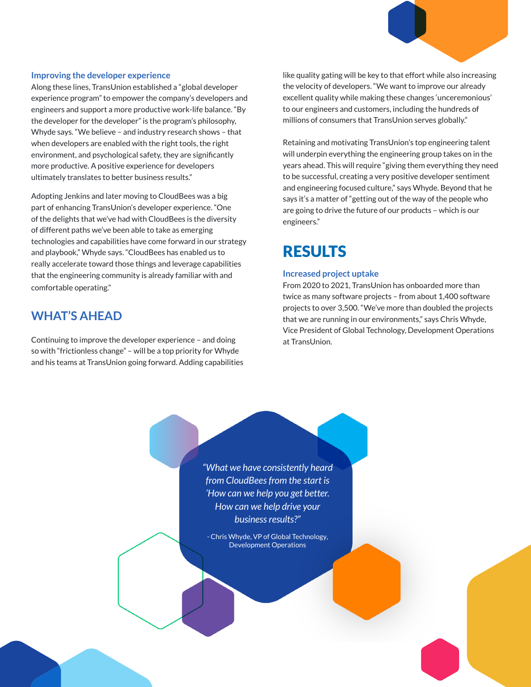#### **Improving the developer experience**

Along these lines, TransUnion established a "global developer experience program" to empower the company's developers and engineers and support a more productive work-life balance. "By the developer for the developer" is the program's philosophy, Whyde says. "We believe – and industry research shows – that when developers are enabled with the right tools, the right environment, and psychological safety, they are significantly more productive. A positive experience for developers ultimately translates to better business results."

Adopting Jenkins and later moving to CloudBees was a big part of enhancing TransUnion's developer experience. "One of the delights that we've had with CloudBees is the diversity of different paths we've been able to take as emerging technologies and capabilities have come forward in our strategy and playbook," Whyde says. "CloudBees has enabled us to really accelerate toward those things and leverage capabilities that the engineering community is already familiar with and comfortable operating."

### **WHAT'S AHEAD**

Continuing to improve the developer experience – and doing so with "frictionless change" – will be a top priority for Whyde and his teams at TransUnion going forward. Adding capabilities like quality gating will be key to that effort while also increasing the velocity of developers. "We want to improve our already excellent quality while making these changes 'unceremonious' to our engineers and customers, including the hundreds of millions of consumers that TransUnion serves globally."

Retaining and motivating TransUnion's top engineering talent will underpin everything the engineering group takes on in the years ahead. This will require "giving them everything they need to be successful, creating a very positive developer sentiment and engineering focused culture," says Whyde. Beyond that he says it's a matter of "getting out of the way of the people who are going to drive the future of our products – which is our engineers."

## RESULTS

#### **Increased project uptake**

From 2020 to 2021, TransUnion has onboarded more than twice as many software projects – from about 1,400 software projects to over 3,500. "We've more than doubled the projects that we are running in our environments," says Chris Whyde, Vice President of Global Technology, Development Operations at TransUnion.

*"What we have consistently heard from CloudBees from the start is 'How can we help you get better. How can we help drive your business results?"*

- Chris Whyde, VP of Global Technology, Development Operations